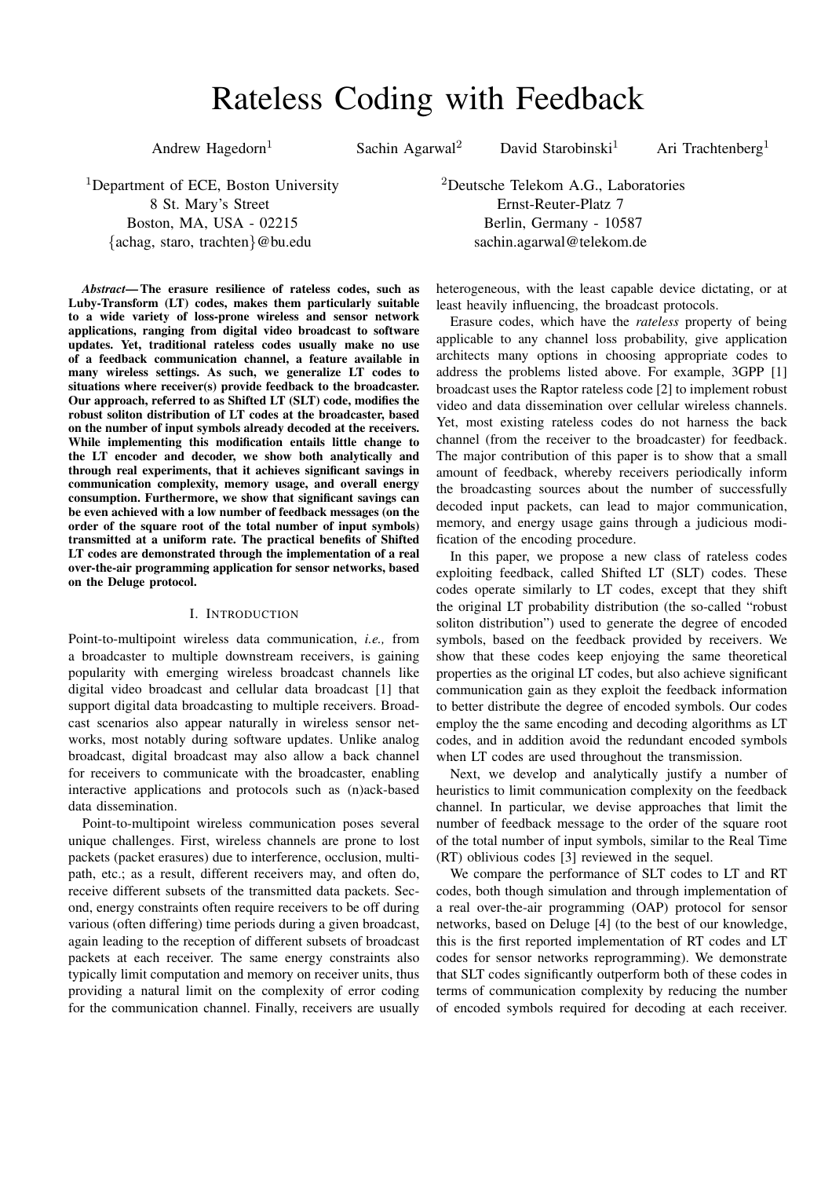# Rateless Coding with Feedback

Andrew Hagedorn $<sup>1</sup>$ </sup>

Sachin Agarwal<sup>2</sup> David Starobinski<sup>1</sup> Ari Trachtenberg<sup>1</sup>

<sup>1</sup>Department of ECE, Boston University

8 St. Mary's Street Boston, MA, USA - 02215 {achag, staro, trachten}@bu.edu

*Abstract***— The erasure resilience of rateless codes, such as Luby-Transform (LT) codes, makes them particularly suitable to a wide variety of loss-prone wireless and sensor network applications, ranging from digital video broadcast to software updates. Yet, traditional rateless codes usually make no use of a feedback communication channel, a feature available in many wireless settings. As such, we generalize LT codes to situations where receiver(s) provide feedback to the broadcaster. Our approach, referred to as Shifted LT (SLT) code, modifies the robust soliton distribution of LT codes at the broadcaster, based on the number of input symbols already decoded at the receivers. While implementing this modification entails little change to the LT encoder and decoder, we show both analytically and through real experiments, that it achieves significant savings in communication complexity, memory usage, and overall energy consumption. Furthermore, we show that significant savings can be even achieved with a low number of feedback messages (on the order of the square root of the total number of input symbols) transmitted at a uniform rate. The practical benefits of Shifted LT codes are demonstrated through the implementation of a real over-the-air programming application for sensor networks, based on the Deluge protocol.**

## I. INTRODUCTION

Point-to-multipoint wireless data communication, *i.e.,* from a broadcaster to multiple downstream receivers, is gaining popularity with emerging wireless broadcast channels like digital video broadcast and cellular data broadcast [1] that support digital data broadcasting to multiple receivers. Broadcast scenarios also appear naturally in wireless sensor networks, most notably during software updates. Unlike analog broadcast, digital broadcast may also allow a back channel for receivers to communicate with the broadcaster, enabling interactive applications and protocols such as (n)ack-based data dissemination.

Point-to-multipoint wireless communication poses several unique challenges. First, wireless channels are prone to lost packets (packet erasures) due to interference, occlusion, multipath, etc.; as a result, different receivers may, and often do, receive different subsets of the transmitted data packets. Second, energy constraints often require receivers to be off during various (often differing) time periods during a given broadcast, again leading to the reception of different subsets of broadcast packets at each receiver. The same energy constraints also typically limit computation and memory on receiver units, thus providing a natural limit on the complexity of error coding for the communication channel. Finally, receivers are usually

<sup>2</sup>Deutsche Telekom A.G., Laboratories Ernst-Reuter-Platz 7 Berlin, Germany - 10587 sachin.agarwal@telekom.de

heterogeneous, with the least capable device dictating, or at least heavily influencing, the broadcast protocols.

Erasure codes, which have the *rateless* property of being applicable to any channel loss probability, give application architects many options in choosing appropriate codes to address the problems listed above. For example, 3GPP [1] broadcast uses the Raptor rateless code [2] to implement robust video and data dissemination over cellular wireless channels. Yet, most existing rateless codes do not harness the back channel (from the receiver to the broadcaster) for feedback. The major contribution of this paper is to show that a small amount of feedback, whereby receivers periodically inform the broadcasting sources about the number of successfully decoded input packets, can lead to major communication, memory, and energy usage gains through a judicious modification of the encoding procedure.

In this paper, we propose a new class of rateless codes exploiting feedback, called Shifted LT (SLT) codes. These codes operate similarly to LT codes, except that they shift the original LT probability distribution (the so-called "robust soliton distribution") used to generate the degree of encoded symbols, based on the feedback provided by receivers. We show that these codes keep enjoying the same theoretical properties as the original LT codes, but also achieve significant communication gain as they exploit the feedback information to better distribute the degree of encoded symbols. Our codes employ the the same encoding and decoding algorithms as LT codes, and in addition avoid the redundant encoded symbols when LT codes are used throughout the transmission.

Next, we develop and analytically justify a number of heuristics to limit communication complexity on the feedback channel. In particular, we devise approaches that limit the number of feedback message to the order of the square root of the total number of input symbols, similar to the Real Time (RT) oblivious codes [3] reviewed in the sequel.

We compare the performance of SLT codes to LT and RT codes, both though simulation and through implementation of a real over-the-air programming (OAP) protocol for sensor networks, based on Deluge [4] (to the best of our knowledge, this is the first reported implementation of RT codes and LT codes for sensor networks reprogramming). We demonstrate that SLT codes significantly outperform both of these codes in terms of communication complexity by reducing the number of encoded symbols required for decoding at each receiver.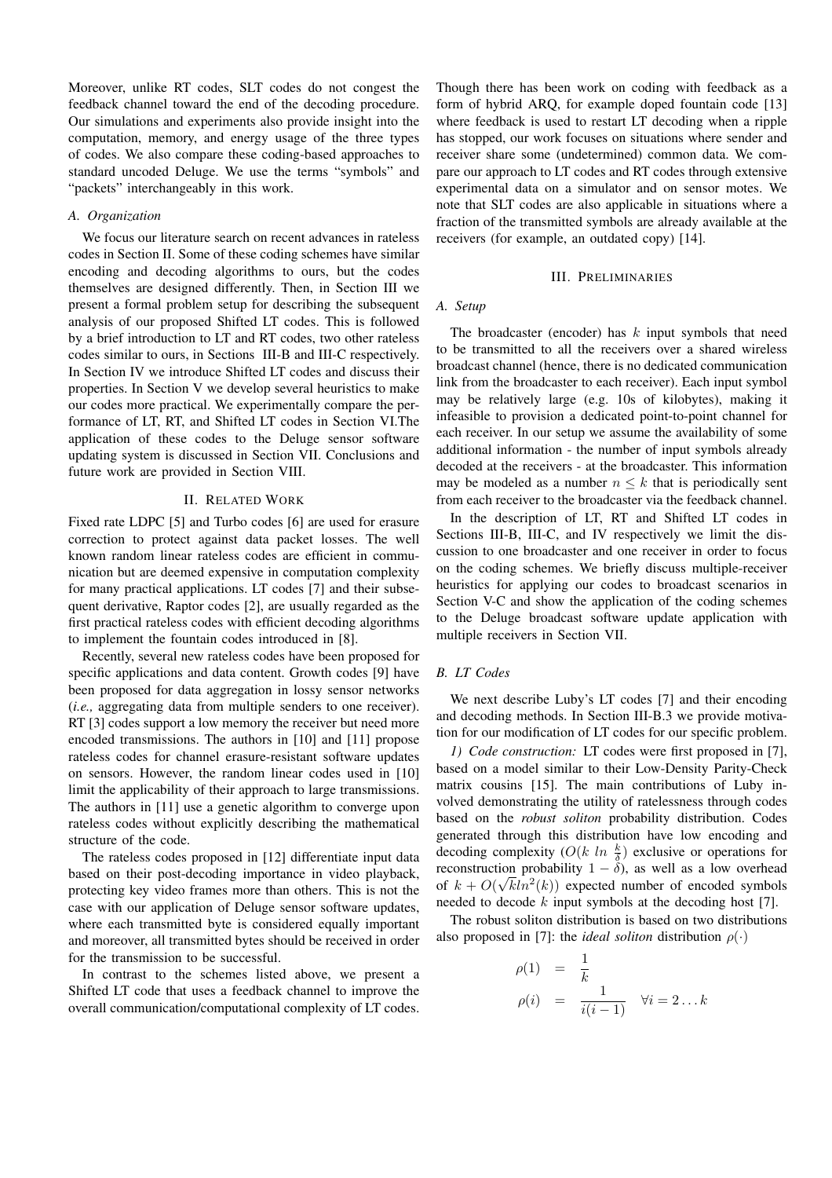Moreover, unlike RT codes, SLT codes do not congest the feedback channel toward the end of the decoding procedure. Our simulations and experiments also provide insight into the computation, memory, and energy usage of the three types of codes. We also compare these coding-based approaches to standard uncoded Deluge. We use the terms "symbols" and "packets" interchangeably in this work.

#### *A. Organization*

We focus our literature search on recent advances in rateless codes in Section II. Some of these coding schemes have similar encoding and decoding algorithms to ours, but the codes themselves are designed differently. Then, in Section III we present a formal problem setup for describing the subsequent analysis of our proposed Shifted LT codes. This is followed by a brief introduction to LT and RT codes, two other rateless codes similar to ours, in Sections III-B and III-C respectively. In Section IV we introduce Shifted LT codes and discuss their properties. In Section V we develop several heuristics to make our codes more practical. We experimentally compare the performance of LT, RT, and Shifted LT codes in Section VI.The application of these codes to the Deluge sensor software updating system is discussed in Section VII. Conclusions and future work are provided in Section VIII.

## II. RELATED WORK

Fixed rate LDPC [5] and Turbo codes [6] are used for erasure correction to protect against data packet losses. The well known random linear rateless codes are efficient in communication but are deemed expensive in computation complexity for many practical applications. LT codes [7] and their subsequent derivative, Raptor codes [2], are usually regarded as the first practical rateless codes with efficient decoding algorithms to implement the fountain codes introduced in [8].

Recently, several new rateless codes have been proposed for specific applications and data content. Growth codes [9] have been proposed for data aggregation in lossy sensor networks (*i.e.,* aggregating data from multiple senders to one receiver). RT [3] codes support a low memory the receiver but need more encoded transmissions. The authors in [10] and [11] propose rateless codes for channel erasure-resistant software updates on sensors. However, the random linear codes used in [10] limit the applicability of their approach to large transmissions. The authors in [11] use a genetic algorithm to converge upon rateless codes without explicitly describing the mathematical structure of the code.

The rateless codes proposed in [12] differentiate input data based on their post-decoding importance in video playback, protecting key video frames more than others. This is not the case with our application of Deluge sensor software updates, where each transmitted byte is considered equally important and moreover, all transmitted bytes should be received in order for the transmission to be successful.

In contrast to the schemes listed above, we present a Shifted LT code that uses a feedback channel to improve the overall communication/computational complexity of LT codes.

Though there has been work on coding with feedback as a form of hybrid ARQ, for example doped fountain code [13] where feedback is used to restart LT decoding when a ripple has stopped, our work focuses on situations where sender and receiver share some (undetermined) common data. We compare our approach to LT codes and RT codes through extensive experimental data on a simulator and on sensor motes. We note that SLT codes are also applicable in situations where a fraction of the transmitted symbols are already available at the receivers (for example, an outdated copy) [14].

#### III. PRELIMINARIES

## *A. Setup*

The broadcaster (encoder) has  $k$  input symbols that need to be transmitted to all the receivers over a shared wireless broadcast channel (hence, there is no dedicated communication link from the broadcaster to each receiver). Each input symbol may be relatively large (e.g. 10s of kilobytes), making it infeasible to provision a dedicated point-to-point channel for each receiver. In our setup we assume the availability of some additional information - the number of input symbols already decoded at the receivers - at the broadcaster. This information may be modeled as a number  $n \leq k$  that is periodically sent from each receiver to the broadcaster via the feedback channel.

In the description of LT, RT and Shifted LT codes in Sections III-B, III-C, and IV respectively we limit the discussion to one broadcaster and one receiver in order to focus on the coding schemes. We briefly discuss multiple-receiver heuristics for applying our codes to broadcast scenarios in Section V-C and show the application of the coding schemes to the Deluge broadcast software update application with multiple receivers in Section VII.

## *B. LT Codes*

We next describe Luby's LT codes [7] and their encoding and decoding methods. In Section III-B.3 we provide motivation for our modification of LT codes for our specific problem.

*1) Code construction:* LT codes were first proposed in [7], based on a model similar to their Low-Density Parity-Check matrix cousins [15]. The main contributions of Luby involved demonstrating the utility of ratelessness through codes based on the *robust soliton* probability distribution. Codes generated through this distribution have low encoding and decoding complexity  $(O(k \ ln \frac{k}{\delta}))$  exclusive or operations for reconstruction probability  $1 - \delta$ ), as well as a low overhead of  $k + O(\sqrt{k}ln^2(k))$  expected number of encoded symbols needed to decode  $k$  input symbols at the decoding host [7].

The robust soliton distribution is based on two distributions also proposed in [7]: the *ideal soliton* distribution  $\rho(\cdot)$ 

$$
\rho(1) = \frac{1}{k}
$$
  

$$
\rho(i) = \frac{1}{i(i-1)} \quad \forall i = 2...k
$$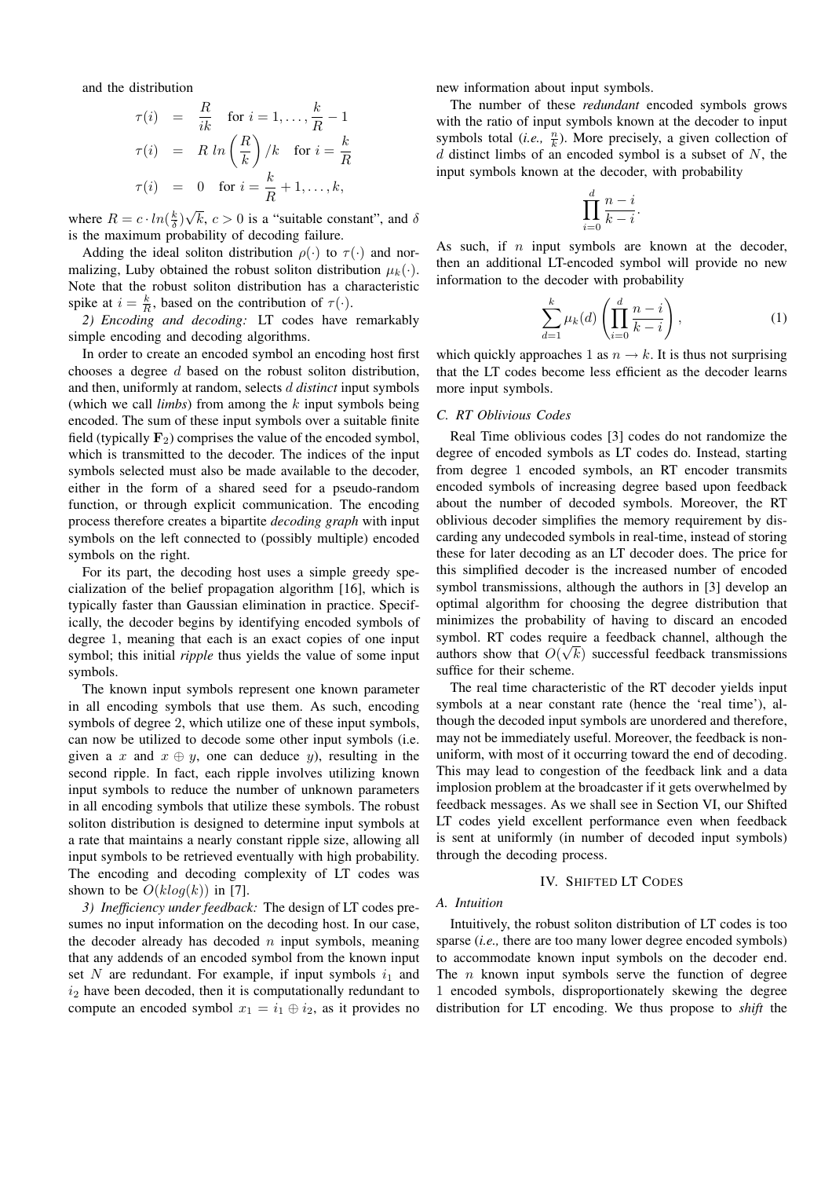and the distribution

$$
\tau(i) = \frac{R}{ik} \quad \text{for } i = 1, \dots, \frac{k}{R} - 1
$$
\n
$$
\tau(i) = R \ln\left(\frac{R}{k}\right) / k \quad \text{for } i = \frac{k}{R}
$$
\n
$$
\tau(i) = 0 \quad \text{for } i = \frac{k}{R} + 1, \dots, k,
$$

where  $R = c \cdot ln(\frac{k}{\delta})$ √  $k, c > 0$  is a "suitable constant", and  $\delta$ is the maximum probability of decoding failure.

Adding the ideal soliton distribution  $\rho(\cdot)$  to  $\tau(\cdot)$  and normalizing, Luby obtained the robust soliton distribution  $\mu_k(\cdot)$ . Note that the robust soliton distribution has a characteristic spike at  $i = \frac{k}{R}$ , based on the contribution of  $\tau(\cdot)$ .

*2) Encoding and decoding:* LT codes have remarkably simple encoding and decoding algorithms.

In order to create an encoded symbol an encoding host first chooses a degree d based on the robust soliton distribution, and then, uniformly at random, selects d *distinct* input symbols (which we call *limbs*) from among the k input symbols being encoded. The sum of these input symbols over a suitable finite field (typically  $\mathbf{F}_2$ ) comprises the value of the encoded symbol, which is transmitted to the decoder. The indices of the input symbols selected must also be made available to the decoder, either in the form of a shared seed for a pseudo-random function, or through explicit communication. The encoding process therefore creates a bipartite *decoding graph* with input symbols on the left connected to (possibly multiple) encoded symbols on the right.

For its part, the decoding host uses a simple greedy specialization of the belief propagation algorithm [16], which is typically faster than Gaussian elimination in practice. Specifically, the decoder begins by identifying encoded symbols of degree 1, meaning that each is an exact copies of one input symbol; this initial *ripple* thus yields the value of some input symbols.

The known input symbols represent one known parameter in all encoding symbols that use them. As such, encoding symbols of degree 2, which utilize one of these input symbols, can now be utilized to decode some other input symbols (i.e. given a x and  $x \oplus y$ , one can deduce y), resulting in the second ripple. In fact, each ripple involves utilizing known input symbols to reduce the number of unknown parameters in all encoding symbols that utilize these symbols. The robust soliton distribution is designed to determine input symbols at a rate that maintains a nearly constant ripple size, allowing all input symbols to be retrieved eventually with high probability. The encoding and decoding complexity of LT codes was shown to be  $O(klog(k))$  in [7].

*3) Inefficiency under feedback:* The design of LT codes presumes no input information on the decoding host. In our case, the decoder already has decoded  $n$  input symbols, meaning that any addends of an encoded symbol from the known input set  $N$  are redundant. For example, if input symbols  $i_1$  and  $i_2$  have been decoded, then it is computationally redundant to compute an encoded symbol  $x_1 = i_1 \oplus i_2$ , as it provides no

new information about input symbols.

The number of these *redundant* encoded symbols grows with the ratio of input symbols known at the decoder to input symbols total (*i.e.*,  $\frac{n}{k}$ ). More precisely, a given collection of d distinct limbs of an encoded symbol is a subset of  $N$ , the input symbols known at the decoder, with probability

$$
\prod_{i=0}^{d} \frac{n-i}{k-i}.
$$

As such, if  $n$  input symbols are known at the decoder, then an additional LT-encoded symbol will provide no new information to the decoder with probability

$$
\sum_{d=1}^{k} \mu_k(d) \left( \prod_{i=0}^{d} \frac{n-i}{k-i} \right),\tag{1}
$$

which quickly approaches 1 as  $n \rightarrow k$ . It is thus not surprising that the LT codes become less efficient as the decoder learns more input symbols.

#### *C. RT Oblivious Codes*

Real Time oblivious codes [3] codes do not randomize the degree of encoded symbols as LT codes do. Instead, starting from degree 1 encoded symbols, an RT encoder transmits encoded symbols of increasing degree based upon feedback about the number of decoded symbols. Moreover, the RT oblivious decoder simplifies the memory requirement by discarding any undecoded symbols in real-time, instead of storing these for later decoding as an LT decoder does. The price for this simplified decoder is the increased number of encoded symbol transmissions, although the authors in [3] develop an optimal algorithm for choosing the degree distribution that minimizes the probability of having to discard an encoded symbol. RT codes require a feedback channel, although the authors show that  $O(\sqrt{k})$  successful feedback transmissions suffice for their scheme.

The real time characteristic of the RT decoder yields input symbols at a near constant rate (hence the 'real time'), although the decoded input symbols are unordered and therefore, may not be immediately useful. Moreover, the feedback is nonuniform, with most of it occurring toward the end of decoding. This may lead to congestion of the feedback link and a data implosion problem at the broadcaster if it gets overwhelmed by feedback messages. As we shall see in Section VI, our Shifted LT codes yield excellent performance even when feedback is sent at uniformly (in number of decoded input symbols) through the decoding process.

## IV. SHIFTED LT CODES

# *A. Intuition*

Intuitively, the robust soliton distribution of LT codes is too sparse (*i.e.,* there are too many lower degree encoded symbols) to accommodate known input symbols on the decoder end. The  $n$  known input symbols serve the function of degree 1 encoded symbols, disproportionately skewing the degree distribution for LT encoding. We thus propose to *shift* the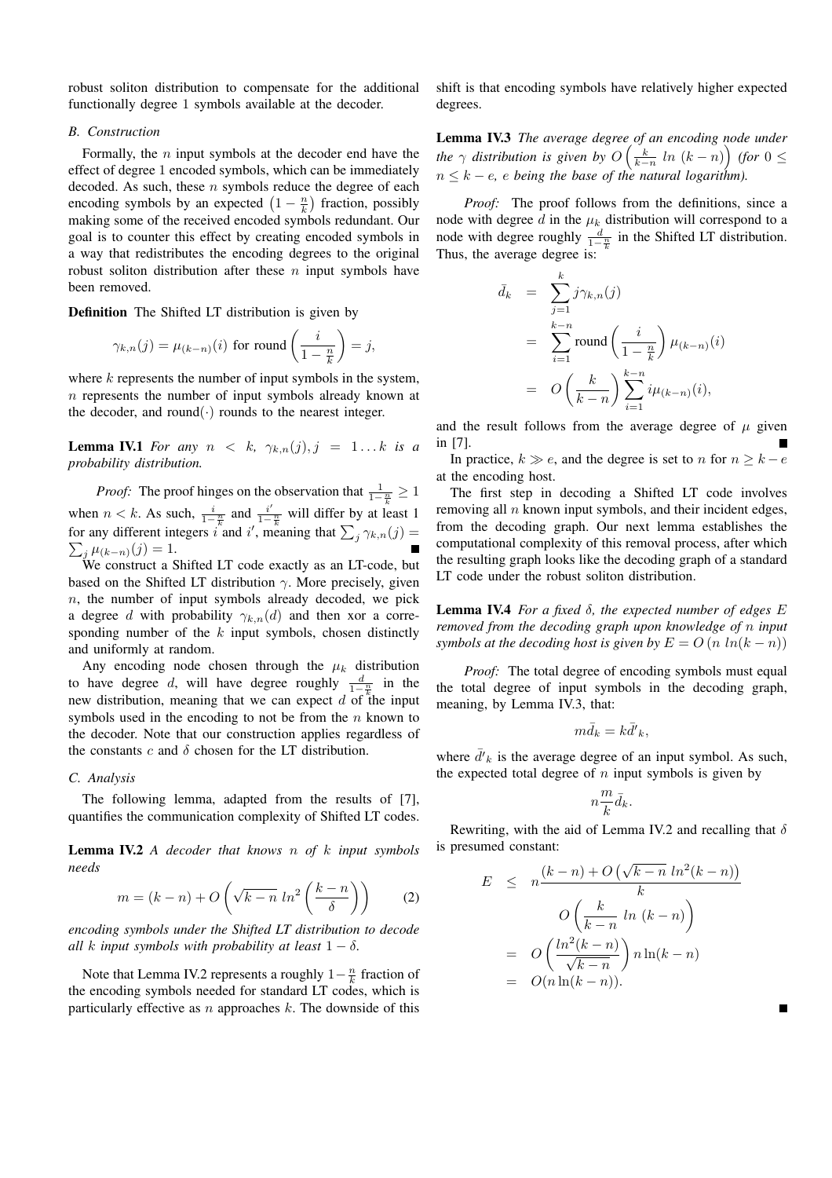robust soliton distribution to compensate for the additional functionally degree 1 symbols available at the decoder.

#### *B. Construction*

Formally, the  $n$  input symbols at the decoder end have the effect of degree 1 encoded symbols, which can be immediately decoded. As such, these *n* symbols reduce the degree of each encoding symbols by an expected  $\left(1 - \frac{n}{k}\right)$  fraction, possibly making some of the received encoded symbols redundant. Our goal is to counter this effect by creating encoded symbols in a way that redistributes the encoding degrees to the original robust soliton distribution after these  $n$  input symbols have been removed.

**Definition** The Shifted LT distribution is given by

$$
\gamma_{k,n}(j) = \mu_{(k-n)}(i) \text{ for round } \left( \frac{i}{1 - \frac{n}{k}} \right) = j,
$$

where  $k$  represents the number of input symbols in the system, n represents the number of input symbols already known at the decoder, and round( $\cdot$ ) rounds to the nearest integer.

**Lemma IV.1** *For any*  $n \leq k$ ,  $\gamma_{k,n}(j), j = 1...k$  *is a probability distribution.*

*Proof:* The proof hinges on the observation that  $\frac{1}{1-\frac{n}{k}} \ge 1$ when  $n < k$ . As such,  $\frac{i}{1-\frac{n}{k}}$  and  $\frac{i'}{1-\frac{n}{k}}$  will differ by at least 1 for any different integers i and i', meaning that  $\sum_j \gamma_{k,n}(j) =$  $\sum_{j} \mu_{(k-n)}(j)=1.$ 

We construct a Shifted LT code exactly as an LT-code, but based on the Shifted LT distribution  $\gamma$ . More precisely, given  $n$ , the number of input symbols already decoded, we pick a degree d with probability  $\gamma_{k,n}(d)$  and then xor a corresponding number of the  $k$  input symbols, chosen distinctly and uniformly at random.

Any encoding node chosen through the  $\mu_k$  distribution to have degree d, will have degree roughly  $\frac{d}{1-\frac{n}{k}}$  in the new distribution, meaning that we can expect d of the input symbols used in the encoding to not be from the  $n$  known to the decoder. Note that our construction applies regardless of the constants  $c$  and  $\delta$  chosen for the LT distribution.

## *C. Analysis*

The following lemma, adapted from the results of [7], quantifies the communication complexity of Shifted LT codes.

**Lemma IV.2** *A decoder that knows* n *of* k *input symbols needs*

$$
m = (k - n) + O\left(\sqrt{k - n} \ln^2\left(\frac{k - n}{\delta}\right)\right) \tag{2}
$$

*encoding symbols under the Shifted LT distribution to decode all* k *input symbols with probability at least*  $1 - \delta$ .

Note that Lemma IV.2 represents a roughly  $1 - \frac{n}{k}$  fraction of the encoding symbols needed for standard LT codes, which is particularly effective as n approaches  $k$ . The downside of this

shift is that encoding symbols have relatively higher expected degrees.

**Lemma IV.3** *The average degree of an encoding node under the*  $\gamma$  *distribution is given by O*  $\left(\frac{k}{k-n} \ ln \ (k-n)\right)$  (for  $0 \leq$  $n \leq k - e$ , e being the base of the natural logarithm).

*Proof:* The proof follows from the definitions, since a node with degree  $d$  in the  $\mu_k$  distribution will correspond to a node with degree roughly  $\frac{d}{1-\frac{n}{k}}$  in the Shifted LT distribution. Thus, the average degree is:

$$
\bar{d}_k = \sum_{j=1}^k j\gamma_{k,n}(j)
$$
  
= 
$$
\sum_{i=1}^{k-n} \text{round}\left(\frac{i}{1-\frac{n}{k}}\right) \mu_{(k-n)}(i)
$$
  
= 
$$
O\left(\frac{k}{k-n}\right) \sum_{i=1}^{k-n} i\mu_{(k-n)}(i),
$$

and the result follows from the average degree of  $\mu$  given in [7].

In practice,  $k \gg e$ , and the degree is set to n for  $n \geq k - e$ at the encoding host.

The first step in decoding a Shifted LT code involves removing all  $n$  known input symbols, and their incident edges, from the decoding graph. Our next lemma establishes the computational complexity of this removal process, after which the resulting graph looks like the decoding graph of a standard LT code under the robust soliton distribution.

**Lemma IV.4** *For a fixed* δ*, the expected number of edges* E *removed from the decoding graph upon knowledge of* n *input symbols at the decoding host is given by*  $E = O(n \ ln(k - n))$ 

*Proof:* The total degree of encoding symbols must equal the total degree of input symbols in the decoding graph, meaning, by Lemma IV.3, that:

$$
m\bar{d}_k = k\bar{d'}_k,
$$

where  $\overline{d'}_k$  is the average degree of an input symbol. As such, the expected total degree of  $n$  input symbols is given by

$$
n\frac{m}{k}\bar{d}_k.
$$

Rewriting, with the aid of Lemma IV.2 and recalling that  $\delta$ is presumed constant:

$$
E \leq n \frac{(k-n) + O(\sqrt{k-n} \ln^2(k-n))}{k}
$$

$$
O\left(\frac{k}{k-n} \ln (k-n)\right)
$$

$$
= O\left(\frac{\ln^2(k-n)}{\sqrt{k-n}}\right) n \ln(k-n)
$$

$$
= O(n \ln(k-n)).
$$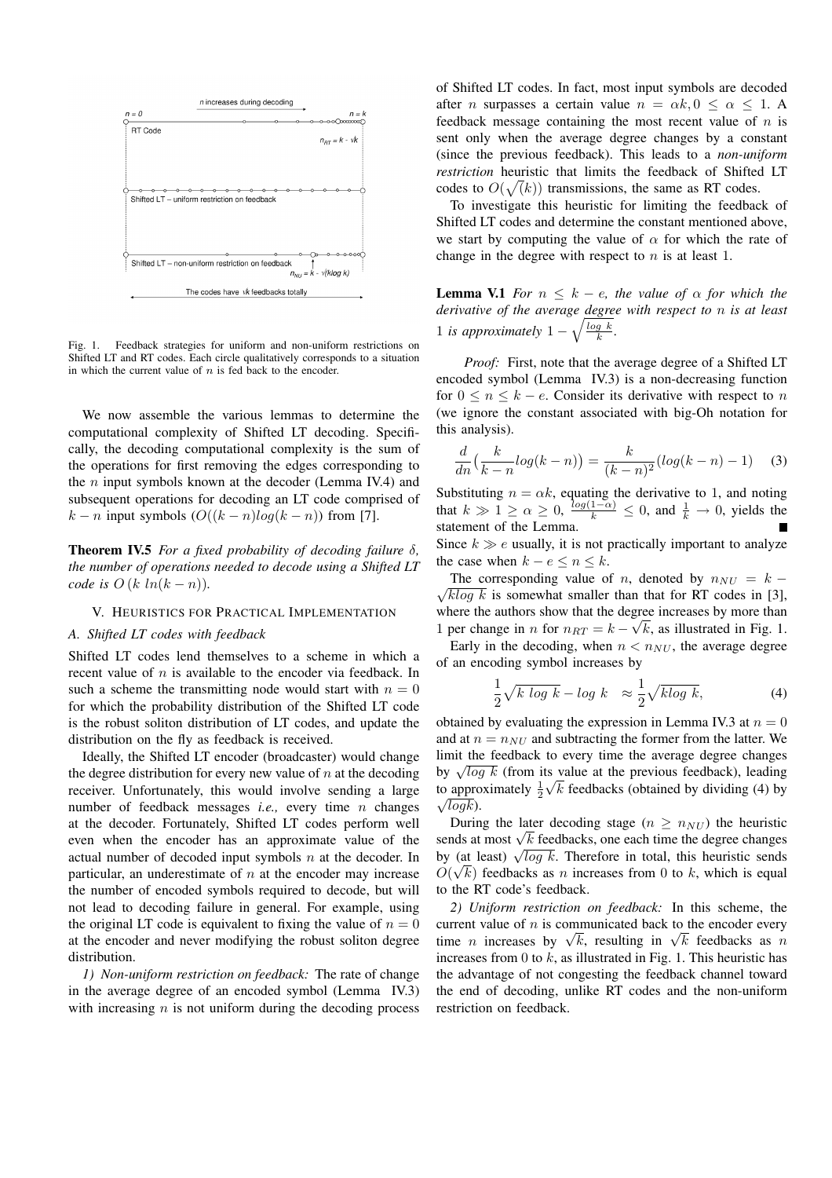

Fig. 1. Feedback strategies for uniform and non-uniform restrictions on Shifted LT and RT codes. Each circle qualitatively corresponds to a situation in which the current value of *n* is fed back to the encoder.

We now assemble the various lemmas to determine the computational complexity of Shifted LT decoding. Specifically, the decoding computational complexity is the sum of the operations for first removing the edges corresponding to the  $n$  input symbols known at the decoder (Lemma IV.4) and subsequent operations for decoding an LT code comprised of  $k - n$  input symbols  $(O((k - n)log(k - n))$  from [7].

**Theorem IV.5** *For a fixed probability of decoding failure* δ*, the number of operations needed to decode using a Shifted LT code is*  $O(k \ln(k - n))$ .

#### V. HEURISTICS FOR PRACTICAL IMPLEMENTATION

# *A. Shifted LT codes with feedback*

Shifted LT codes lend themselves to a scheme in which a recent value of *n* is available to the encoder via feedback. In such a scheme the transmitting node would start with  $n = 0$ for which the probability distribution of the Shifted LT code is the robust soliton distribution of LT codes, and update the distribution on the fly as feedback is received.

Ideally, the Shifted LT encoder (broadcaster) would change the degree distribution for every new value of  $n$  at the decoding receiver. Unfortunately, this would involve sending a large number of feedback messages *i.e.,* every time n changes at the decoder. Fortunately, Shifted LT codes perform well even when the encoder has an approximate value of the actual number of decoded input symbols  $n$  at the decoder. In particular, an underestimate of  $n$  at the encoder may increase the number of encoded symbols required to decode, but will not lead to decoding failure in general. For example, using the original LT code is equivalent to fixing the value of  $n = 0$ at the encoder and never modifying the robust soliton degree distribution.

*1) Non-uniform restriction on feedback:* The rate of change in the average degree of an encoded symbol (Lemma IV.3) with increasing  $n$  is not uniform during the decoding process of Shifted LT codes. In fact, most input symbols are decoded after *n* surpasses a certain value  $n = \alpha k, 0 \le \alpha \le 1$ . A feedback message containing the most recent value of  $n$  is sent only when the average degree changes by a constant (since the previous feedback). This leads to a *non-uniform restriction* heuristic that limits the feedback of Shifted LT codes to  $O(\sqrt(k))$  transmissions, the same as RT codes.

To investigate this heuristic for limiting the feedback of Shifted LT codes and determine the constant mentioned above, we start by computing the value of  $\alpha$  for which the rate of change in the degree with respect to  $n$  is at least 1.

**Lemma V.1** *For*  $n \leq k - e$ *, the value of*  $\alpha$  *for which the derivative of the average degree with respect to* n *is at least* 1 *is approximately*  $1 - \sqrt{\frac{\log k}{k}}$ .

*Proof:* First, note that the average degree of a Shifted LT encoded symbol (Lemma IV.3) is a non-decreasing function for  $0 \leq n \leq k - e$ . Consider its derivative with respect to n (we ignore the constant associated with big-Oh notation for this analysis).

$$
\frac{d}{dn}\left(\frac{k}{k-n}\log(k-n)\right) = \frac{k}{(k-n)^2}(\log(k-n)-1) \quad (3)
$$

Substituting  $n = \alpha k$ , equating the derivative to 1, and noting that  $k \gg 1 \ge \alpha \ge 0$ ,  $\frac{\log(1-\alpha)}{k} \le 0$ , and  $\frac{1}{k} \to 0$ , yields the statement of the Lemma. Since  $k \gg e$  usually, it is not practically important to analyze the case when  $k - e \leq n \leq k$ .

The corresponding value of *n*, denoted by  $n_{NU} = k - \sqrt{k \log k}$  is somewhat smaller than that for RT codes in [3], where the authors show that the degree increases by more than where the authors show that the degree increases by more than 1 per change in *n* for  $n_{RT} = k - \sqrt{k}$ , as illustrated in Fig. 1.

Early in the decoding, when  $n < n_{NU}$ , the average degree of an encoding symbol increases by

$$
\frac{1}{2}\sqrt{k \log k} - \log k \approx \frac{1}{2}\sqrt{k \log k},\tag{4}
$$

obtained by evaluating the expression in Lemma IV.3 at  $n = 0$ and at  $n = n_{NU}$  and subtracting the former from the latter. We limit the feedback to every time the average degree changes by  $\sqrt{\log k}$  (from its value at the previous feedback), leading to approximately  $\frac{1}{2}\sqrt{k}$  feedbacks (obtained by dividing (4) by  $\sqrt{logk}$ ).

During the later decoding stage ( $n \geq n_{NU}$ ) the heuristic During the later decoding stage ( $n \geq n_{NU}$ ) the neuristic sends at most  $\sqrt{k}$  feedbacks, one each time the degree changes by (at least)  $\sqrt{\log k}$ . Therefore in total, this heuristic sends<br>by (at least)  $\sqrt{\log k}$ . Therefore in total, this heuristic sends  $O(\sqrt{k})$  feedbacks as n increases from 0 to k, which is equal to the RT code's feedback.

*2) Uniform restriction on feedback:* In this scheme, the current value of  $n$  is communicated back to the encoder every current value of *n* is communicated back to the encoder every<br>time *n* increases by  $\sqrt{k}$ , resulting in  $\sqrt{k}$  feedbacks as *n* increases from 0 to k, as illustrated in Fig. 1. This heuristic has the advantage of not congesting the feedback channel toward the end of decoding, unlike RT codes and the non-uniform restriction on feedback.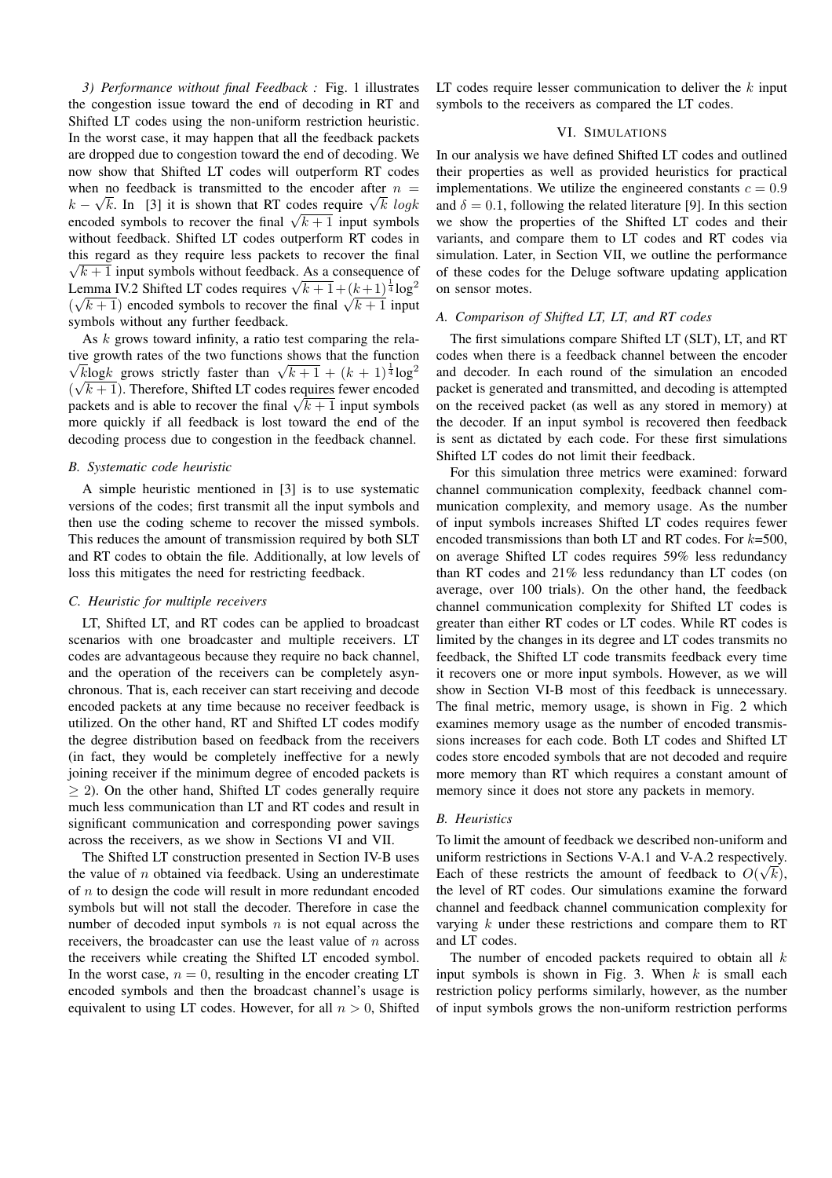*3) Performance without final Feedback :* Fig. 1 illustrates the congestion issue toward the end of decoding in RT and Shifted LT codes using the non-uniform restriction heuristic. In the worst case, it may happen that all the feedback packets are dropped due to congestion toward the end of decoding. We now show that Shifted LT codes will outperform RT codes when no feedback is transmitted to the encoder after  $n =$ when no recuback is transmitted to the encoder after  $n = k - \sqrt{k}$ . In [3] it is shown that RT codes require  $\sqrt{k}$  logk encoded symbols to recover the final  $\sqrt{k+1}$  input symbols without feedback. Shifted LT codes outperform RT codes in this regard as they require less packets to recover the final  $\sqrt{k+1}$  input symbols without feedback. As a consequence of  $\sqrt{k+1}$  input symbols without reedback. As a consequence of<br>Lemma IV.2 Shifted LT codes requires  $\sqrt{k+1} + (k+1)^{\frac{1}{4}} \log^2$ Lemma TV.2 similarly codes requires  $\sqrt{k+1} + (\sqrt{k+1})^4$  input  $(\sqrt{k+1})$  encoded symbols to recover the final  $\sqrt{k+1}$  input symbols without any further feedback.

As k grows toward infinity, a ratio test comparing the relative growth rates of the two functions shows that the function klogk grows strictly faster than  $\sqrt{k+1} + (k+1)^{\frac{1}{4}} \log^2$  $\sqrt{k}$  ( $\sqrt{k+1}$ ). Therefore, Shifted LT codes requires fewer encoded packets and is able to recover the final  $\sqrt{k+1}$  input symbols more quickly if all feedback is lost toward the end of the decoding process due to congestion in the feedback channel.

## *B. Systematic code heuristic*

A simple heuristic mentioned in [3] is to use systematic versions of the codes; first transmit all the input symbols and then use the coding scheme to recover the missed symbols. This reduces the amount of transmission required by both SLT and RT codes to obtain the file. Additionally, at low levels of loss this mitigates the need for restricting feedback.

#### *C. Heuristic for multiple receivers*

LT, Shifted LT, and RT codes can be applied to broadcast scenarios with one broadcaster and multiple receivers. LT codes are advantageous because they require no back channel, and the operation of the receivers can be completely asynchronous. That is, each receiver can start receiving and decode encoded packets at any time because no receiver feedback is utilized. On the other hand, RT and Shifted LT codes modify the degree distribution based on feedback from the receivers (in fact, they would be completely ineffective for a newly joining receiver if the minimum degree of encoded packets is  $\geq$  2). On the other hand, Shifted LT codes generally require much less communication than LT and RT codes and result in significant communication and corresponding power savings across the receivers, as we show in Sections VI and VII.

The Shifted LT construction presented in Section IV-B uses the value of  $n$  obtained via feedback. Using an underestimate of  $n$  to design the code will result in more redundant encoded symbols but will not stall the decoder. Therefore in case the number of decoded input symbols  $n$  is not equal across the receivers, the broadcaster can use the least value of  $n$  across the receivers while creating the Shifted LT encoded symbol. In the worst case,  $n = 0$ , resulting in the encoder creating LT encoded symbols and then the broadcast channel's usage is equivalent to using LT codes. However, for all  $n > 0$ , Shifted

LT codes require lesser communication to deliver the  $k$  input symbols to the receivers as compared the LT codes.

#### VI. SIMULATIONS

In our analysis we have defined Shifted LT codes and outlined their properties as well as provided heuristics for practical implementations. We utilize the engineered constants  $c = 0.9$ and  $\delta = 0.1$ , following the related literature [9]. In this section we show the properties of the Shifted LT codes and their variants, and compare them to LT codes and RT codes via simulation. Later, in Section VII, we outline the performance of these codes for the Deluge software updating application on sensor motes.

#### *A. Comparison of Shifted LT, LT, and RT codes*

The first simulations compare Shifted LT (SLT), LT, and RT codes when there is a feedback channel between the encoder and decoder. In each round of the simulation an encoded packet is generated and transmitted, and decoding is attempted on the received packet (as well as any stored in memory) at the decoder. If an input symbol is recovered then feedback is sent as dictated by each code. For these first simulations Shifted LT codes do not limit their feedback.

For this simulation three metrics were examined: forward channel communication complexity, feedback channel communication complexity, and memory usage. As the number of input symbols increases Shifted LT codes requires fewer encoded transmissions than both LT and RT codes. For  $k=500$ , on average Shifted LT codes requires 59% less redundancy than RT codes and 21% less redundancy than LT codes (on average, over 100 trials). On the other hand, the feedback channel communication complexity for Shifted LT codes is greater than either RT codes or LT codes. While RT codes is limited by the changes in its degree and LT codes transmits no feedback, the Shifted LT code transmits feedback every time it recovers one or more input symbols. However, as we will show in Section VI-B most of this feedback is unnecessary. The final metric, memory usage, is shown in Fig. 2 which examines memory usage as the number of encoded transmissions increases for each code. Both LT codes and Shifted LT codes store encoded symbols that are not decoded and require more memory than RT which requires a constant amount of memory since it does not store any packets in memory.

#### *B. Heuristics*

To limit the amount of feedback we described non-uniform and uniform restrictions in Sections V-A.1 and V-A.2 respectively. Each of these restricts the amount of feedback to  $O(\sqrt{k})$ , the level of RT codes. Our simulations examine the forward channel and feedback channel communication complexity for varying  $k$  under these restrictions and compare them to RT and LT codes.

The number of encoded packets required to obtain all  $k$ input symbols is shown in Fig. 3. When  $k$  is small each restriction policy performs similarly, however, as the number of input symbols grows the non-uniform restriction performs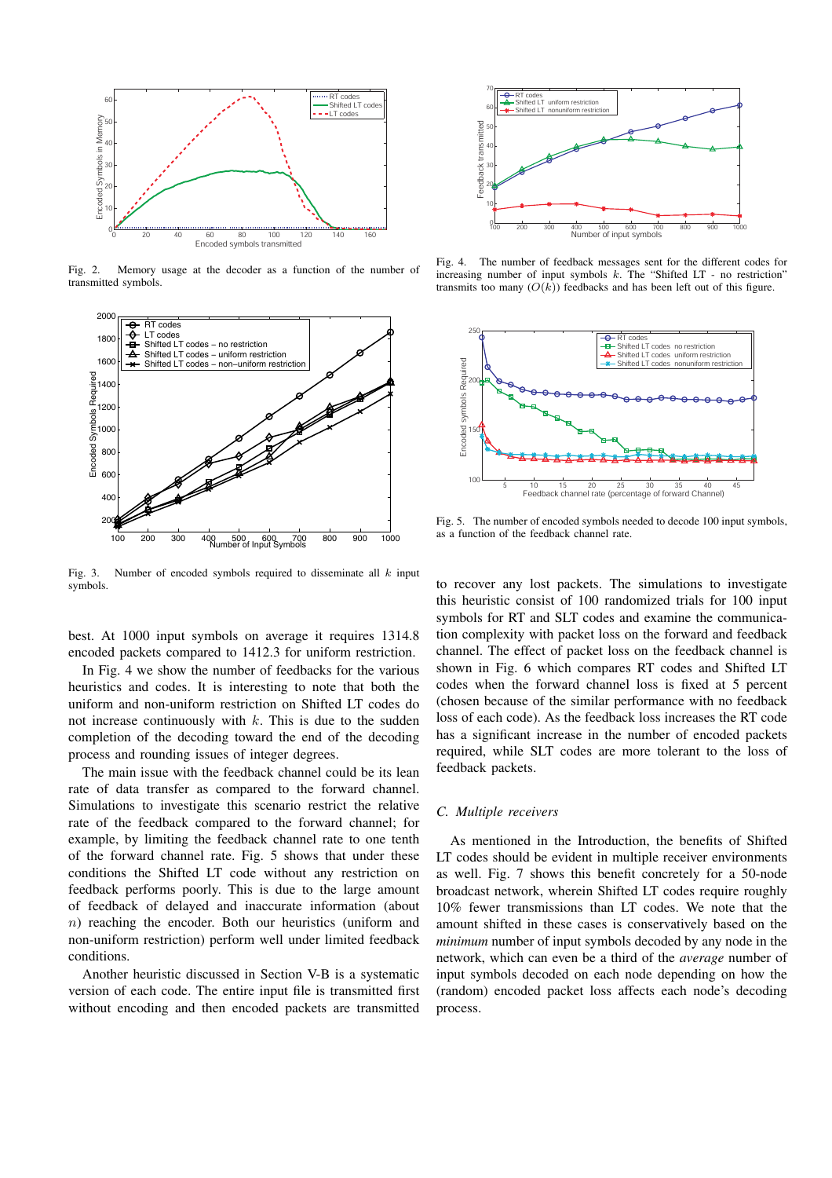

Fig. 2. Memory usage at the decoder as a function of the number of transmitted symbols.



Fig. 3. Number of encoded symbols required to disseminate all *k* input symbols.

best. At 1000 input symbols on average it requires 1314.8 encoded packets compared to 1412.3 for uniform restriction.

In Fig. 4 we show the number of feedbacks for the various heuristics and codes. It is interesting to note that both the uniform and non-uniform restriction on Shifted LT codes do not increase continuously with  $k$ . This is due to the sudden completion of the decoding toward the end of the decoding process and rounding issues of integer degrees.

The main issue with the feedback channel could be its lean rate of data transfer as compared to the forward channel. Simulations to investigate this scenario restrict the relative rate of the feedback compared to the forward channel; for example, by limiting the feedback channel rate to one tenth of the forward channel rate. Fig. 5 shows that under these conditions the Shifted LT code without any restriction on feedback performs poorly. This is due to the large amount of feedback of delayed and inaccurate information (about n) reaching the encoder. Both our heuristics (uniform and non-uniform restriction) perform well under limited feedback conditions.

Another heuristic discussed in Section V-B is a systematic version of each code. The entire input file is transmitted first without encoding and then encoded packets are transmitted



Fig. 4. The number of feedback messages sent for the different codes for increasing number of input symbols *k*. The "Shifted LT - no restriction" transmits too many  $(O(k))$  feedbacks and has been left out of this figure.



Fig. 5. The number of encoded symbols needed to decode 100 input symbols, as a function of the feedback channel rate.

to recover any lost packets. The simulations to investigate this heuristic consist of 100 randomized trials for 100 input symbols for RT and SLT codes and examine the communication complexity with packet loss on the forward and feedback channel. The effect of packet loss on the feedback channel is shown in Fig. 6 which compares RT codes and Shifted LT codes when the forward channel loss is fixed at 5 percent (chosen because of the similar performance with no feedback loss of each code). As the feedback loss increases the RT code has a significant increase in the number of encoded packets required, while SLT codes are more tolerant to the loss of feedback packets.

## *C. Multiple receivers*

As mentioned in the Introduction, the benefits of Shifted LT codes should be evident in multiple receiver environments as well. Fig. 7 shows this benefit concretely for a 50-node broadcast network, wherein Shifted LT codes require roughly 10% fewer transmissions than LT codes. We note that the amount shifted in these cases is conservatively based on the *minimum* number of input symbols decoded by any node in the network, which can even be a third of the *average* number of input symbols decoded on each node depending on how the (random) encoded packet loss affects each node's decoding process.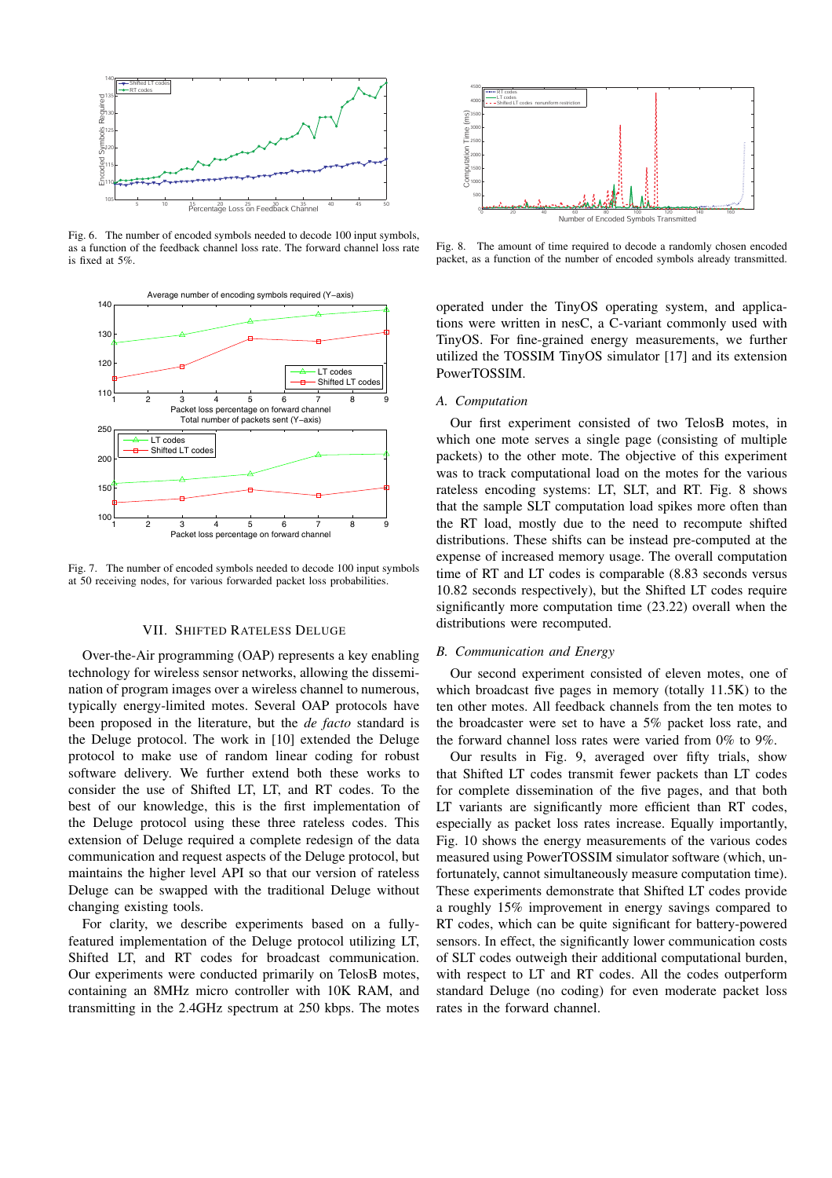

Fig. 6. The number of encoded symbols needed to decode 100 input symbols, as a function of the feedback channel loss rate. The forward channel loss rate is fixed at 5%.



Fig. 7. The number of encoded symbols needed to decode 100 input symbols at 50 receiving nodes, for various forwarded packet loss probabilities.

#### VII. SHIFTED RATELESS DELUGE

Over-the-Air programming (OAP) represents a key enabling technology for wireless sensor networks, allowing the dissemination of program images over a wireless channel to numerous, typically energy-limited motes. Several OAP protocols have been proposed in the literature, but the *de facto* standard is the Deluge protocol. The work in [10] extended the Deluge protocol to make use of random linear coding for robust software delivery. We further extend both these works to consider the use of Shifted LT, LT, and RT codes. To the best of our knowledge, this is the first implementation of the Deluge protocol using these three rateless codes. This extension of Deluge required a complete redesign of the data communication and request aspects of the Deluge protocol, but maintains the higher level API so that our version of rateless Deluge can be swapped with the traditional Deluge without changing existing tools.

For clarity, we describe experiments based on a fullyfeatured implementation of the Deluge protocol utilizing LT, Shifted LT, and RT codes for broadcast communication. Our experiments were conducted primarily on TelosB motes, containing an 8MHz micro controller with 10K RAM, and transmitting in the 2.4GHz spectrum at 250 kbps. The motes



Fig. 8. The amount of time required to decode a randomly chosen encoded packet, as a function of the number of encoded symbols already transmitted.

operated under the TinyOS operating system, and applications were written in nesC, a C-variant commonly used with TinyOS. For fine-grained energy measurements, we further utilized the TOSSIM TinyOS simulator [17] and its extension PowerTOSSIM.

# *A. Computation*

Our first experiment consisted of two TelosB motes, in which one mote serves a single page (consisting of multiple packets) to the other mote. The objective of this experiment was to track computational load on the motes for the various rateless encoding systems: LT, SLT, and RT. Fig. 8 shows that the sample SLT computation load spikes more often than the RT load, mostly due to the need to recompute shifted distributions. These shifts can be instead pre-computed at the expense of increased memory usage. The overall computation time of RT and LT codes is comparable (8.83 seconds versus 10.82 seconds respectively), but the Shifted LT codes require significantly more computation time (23.22) overall when the distributions were recomputed.

## *B. Communication and Energy*

Our second experiment consisted of eleven motes, one of which broadcast five pages in memory (totally 11.5K) to the ten other motes. All feedback channels from the ten motes to the broadcaster were set to have a 5% packet loss rate, and the forward channel loss rates were varied from 0% to 9%.

Our results in Fig. 9, averaged over fifty trials, show that Shifted LT codes transmit fewer packets than LT codes for complete dissemination of the five pages, and that both LT variants are significantly more efficient than RT codes, especially as packet loss rates increase. Equally importantly, Fig. 10 shows the energy measurements of the various codes measured using PowerTOSSIM simulator software (which, unfortunately, cannot simultaneously measure computation time). These experiments demonstrate that Shifted LT codes provide a roughly 15% improvement in energy savings compared to RT codes, which can be quite significant for battery-powered sensors. In effect, the significantly lower communication costs of SLT codes outweigh their additional computational burden, with respect to LT and RT codes. All the codes outperform standard Deluge (no coding) for even moderate packet loss rates in the forward channel.